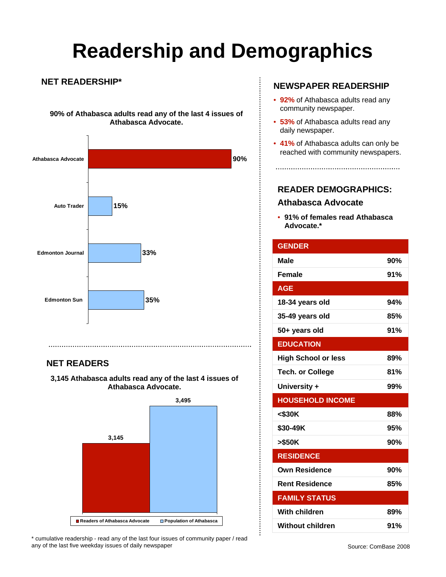# **Readership and Demographics**

### **NET READERSHIP\***

**90% of Athabasca adults read any of the last 4 issues of Athabasca Advocate.**



## **NET READERS**

**3,145 Athabasca adults read any of the last 4 issues of Athabasca Advocate.** 



\* cumulative readership - read any of the last four issues of community paper / read any of the last five weekday issues of daily newspaper

### **NEWSPAPER READERSHIP**

- **92%** of Athabasca adults read any community newspaper.
- **53%** of Athabasca adults read any daily newspaper.
- **41%** of Athabasca adults can only be reached with community newspapers.

## **READER DEMOGRAPHICS:**

### **Athabasca Advocate**

• **91% of females read Athabasca Advocate.\***

| <b>GENDER</b>              |     |
|----------------------------|-----|
| <b>Male</b>                | 90% |
| <b>Female</b>              | 91% |
| <b>AGE</b>                 |     |
| 18-34 years old            | 94% |
| 35-49 years old            | 85% |
| 50+ years old              | 91% |
| <b>EDUCATION</b>           |     |
| <b>High School or less</b> | 89% |
| <b>Tech. or College</b>    | 81% |
| University +               | 99% |
| <b>HOUSEHOLD INCOME</b>    |     |
| $<$ \$30K                  | 88% |
| \$30-49K                   | 95% |
| >\$50K                     | 90% |
| <b>RESIDENCE</b>           |     |
| <b>Own Residence</b>       | 90% |
| <b>Rent Residence</b>      | 85% |
| <b>FAMILY STATUS</b>       |     |
| With children              | 89% |
| <b>Without children</b>    | 91% |

 $\vdots$